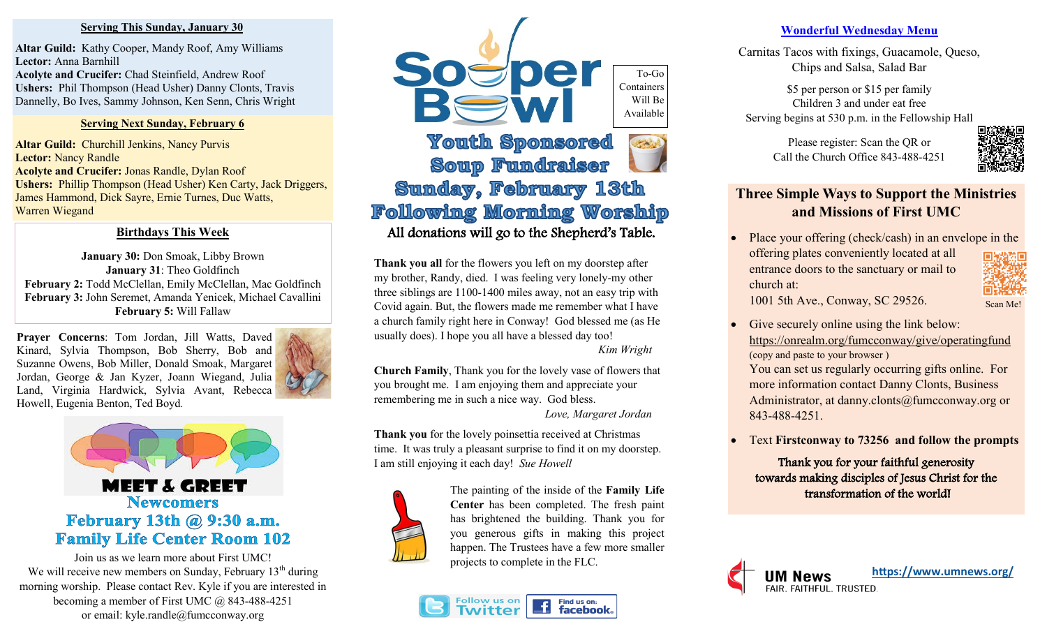#### **Serving This Sunday, January 30**

**Altar Guild:** Kathy Cooper, Mandy Roof, Amy Williams **Lector:** Anna Barnhill **Acolyte and Crucifer:** Chad Steinfield, Andrew Roof **Ushers:** Phil Thompson (Head Usher) Danny Clonts, Travis Dannelly, Bo Ives, Sammy Johnson, Ken Senn, Chris Wright

#### **Serving Next Sunday, February 6**

**Altar Guild:** Churchill Jenkins, Nancy Purvis **Lector:** Nancy Randle **Acolyte and Crucifer:** Jonas Randle, Dylan Roof **Ushers:** Phillip Thompson (Head Usher) Ken Carty, Jack Driggers, James Hammond, Dick Sayre, Ernie Turnes, Duc Watts, Warren Wiegand

### **Birthdays This Week**

January 30: Don Smoak, Libby Brown **January 31**: Theo Goldfinch **February 2:** Todd McClellan, Emily McClellan, Mac Goldfinch **February 3:** John Seremet, Amanda Yenicek, Michael Cavallini **February 5:** Will Fallaw

**Prayer Concerns**: Tom Jordan, Jill Watts, Daved Kinard, Sylvia Thompson, Bob Sherry, Bob and Suzanne Owens, Bob Miller, Donald Smoak, Margaret Jordan, George & Jan Kyzer, Joann Wiegand, Julia Land, Virginia Hardwick, Sylvia Avant, Rebecca Howell, Eugenia Benton, Ted Boyd.





Join us as we learn more about First UMC! We will receive new members on Sunday, February  $13<sup>th</sup>$  during morning worship. Please contact Rev. Kyle if you are interested in becoming a member of First UMC @ 843-488-4251 or email: kyle.randle@fumcconway.org



# **Soup Fundraiser** Sunday, February 13th **Following Morning Worship** All donations will go to the Shepherd's Table.

**Thank you all** for the flowers you left on my doorstep after my brother, Randy, died. I was feeling very lonely-my other three siblings are 1100-1400 miles away, not an easy trip with Covid again. But, the flowers made me remember what I have a church family right here in Conway! God blessed me (as He usually does). I hope you all have a blessed day too! *Kim Wright*

**Church Family**, Thank you for the lovely vase of flowers that you brought me. I am enjoying them and appreciate your remembering me in such a nice way. God bless. *Love, Margaret Jordan*

**Thank you** for the lovely poinsettia received at Christmas time. It was truly a pleasant surprise to find it on my doorstep. I am still enjoying it each day! *Sue Howell*



The painting of the inside of the **Family Life Center** has been completed. The fresh paint has brightened the building. Thank you for you generous gifts in making this project happen. The Trustees have a few more smaller projects to complete in the FLC.



#### **Wonderful Wednesday Menu**

Carnitas Tacos with fixings, Guacamole, Queso, Chips and Salsa, Salad Bar

\$5 per person or \$15 per family Children 3 and under eat free Serving begins at 530 p.m. in the Fellowship Hall

> Please register: Scan the QR or Call the Church Office 843-488-4251



# **Three Simple Ways to Support the Ministries and Missions of First UMC**

Place your offering (check/cash) in an envelope in the offering plates conveniently located at all entrance doors to the sanctuary or mail to church at:

1001 5th Ave., Conway, SC 29526.

- Scan Me!
- Give securely online using the link below: <https://onrealm.org/fumcconway/give/operatingfund> (copy and paste to your browser )

You can set us regularly occurring gifts online. For more information contact Danny Clonts, Business Administrator, at danny.clonts@fumcconway.org or 843-488-4251.

• Text **Firstconway to 73256 and follow the prompts**

Thank you for your faithful generosity towards making disciples of Jesus Christ for the transformation of the world!